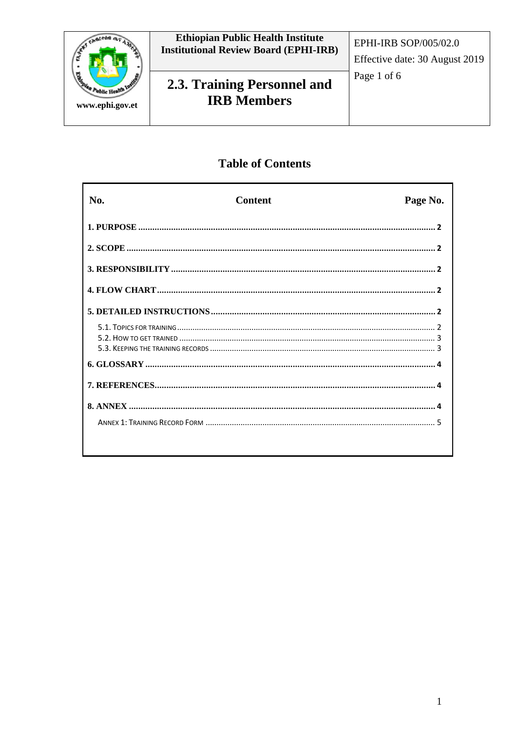

## **Table of Contents**

| No. | <b>Content</b> | Page No. |
|-----|----------------|----------|
|     |                |          |
|     |                |          |
|     |                |          |
|     |                |          |
|     |                |          |
|     |                |          |
|     |                |          |
|     |                |          |
|     |                |          |
|     |                |          |
|     |                |          |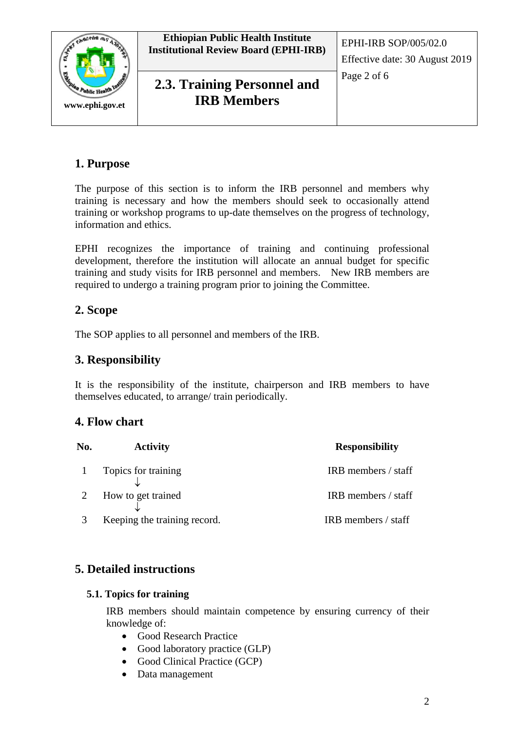



**2.3. Training Personnel and Page 2 of 6 IRB Members**

# **1. Purpose**

The purpose of this section is to inform the IRB personnel and members why training is necessary and how the members should seek to occasionally attend training or workshop programs to up-date themselves on the progress of technology, information and ethics.

EPHI recognizes the importance of training and continuing professional development, therefore the institution will allocate an annual budget for specific training and study visits for IRB personnel and members. New IRB members are required to undergo a training program prior to joining the Committee.

# **2. Scope**

The SOP applies to all personnel and members of the IRB.

# **3. Responsibility**

It is the responsibility of the institute, chairperson and IRB members to have themselves educated, to arrange/ train periodically.

# **4. Flow chart**

| No. | <b>Activity</b>              | <b>Responsibility</b> |  |
|-----|------------------------------|-----------------------|--|
|     | 1 Topics for training        | IRB members / staff   |  |
|     | How to get trained           | IRB members / staff   |  |
|     | Keeping the training record. | IRB members / staff   |  |

# **5. Detailed instructions**

#### **5.1. Topics for training**

IRB members should maintain competence by ensuring currency of their knowledge of:

- Good Research Practice
- Good laboratory practice (GLP)
- Good Clinical Practice (GCP)
- Data management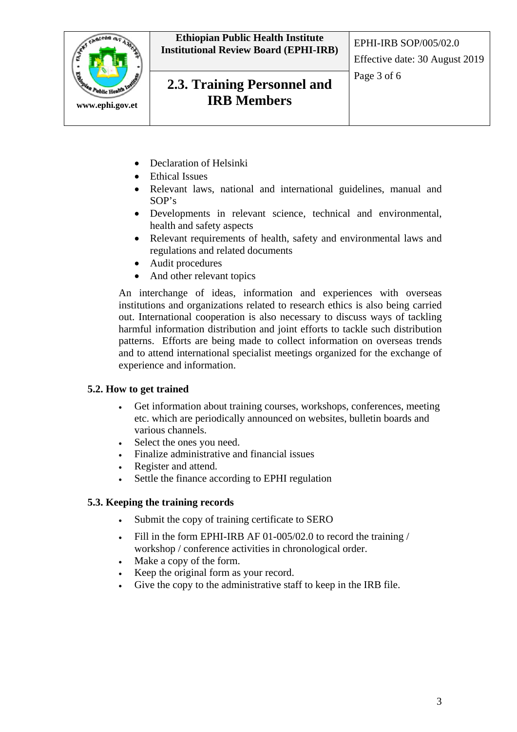

- Declaration of Helsinki
- Ethical Issues
- Relevant laws, national and international guidelines, manual and SOP's
- Developments in relevant science, technical and environmental, health and safety aspects
- Relevant requirements of health, safety and environmental laws and regulations and related documents
- Audit procedures
- And other relevant topics

An interchange of ideas, information and experiences with overseas institutions and organizations related to research ethics is also being carried out. International cooperation is also necessary to discuss ways of tackling harmful information distribution and joint efforts to tackle such distribution patterns. Efforts are being made to collect information on overseas trends and to attend international specialist meetings organized for the exchange of experience and information.

#### **5.2. How to get trained**

- Get information about training courses, workshops, conferences, meeting etc. which are periodically announced on websites, bulletin boards and various channels.
- Select the ones you need.
- Finalize administrative and financial issues
- Register and attend.
- Settle the finance according to EPHI regulation

#### **5.3. Keeping the training records**

- Submit the copy of training certificate to SERO
- Fill in the form EPHI-IRB AF 01-005/02.0 to record the training / workshop / conference activities in chronological order.
- Make a copy of the form.
- Keep the original form as your record.
- Give the copy to the administrative staff to keep in the IRB file.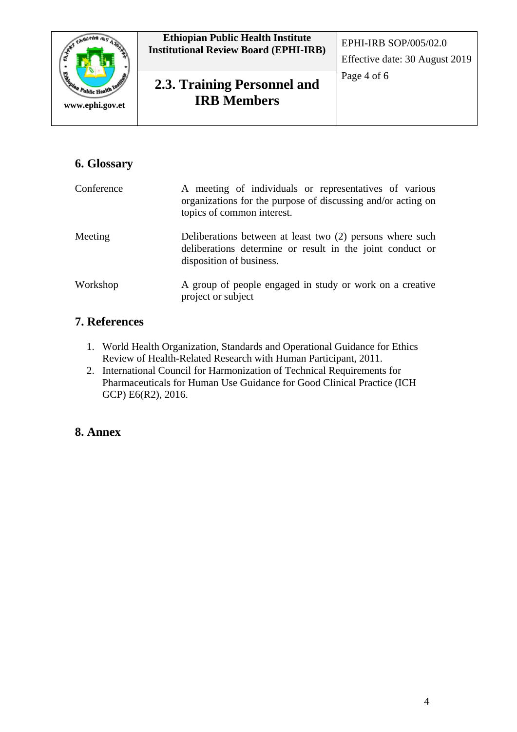

# Page 4 of 6 **2.3. Training Personnel and IRB Members**

# **6. Glossary**

| Conference | A meeting of individuals or representatives of various<br>organizations for the purpose of discussing and/or acting on<br>topics of common interest. |
|------------|------------------------------------------------------------------------------------------------------------------------------------------------------|
| Meeting    | Deliberations between at least two (2) persons where such<br>deliberations determine or result in the joint conduct or<br>disposition of business.   |
| Workshop   | A group of people engaged in study or work on a creative<br>project or subject                                                                       |

## **7. References**

- 1. World Health Organization, Standards and Operational Guidance for Ethics Review of Health-Related Research with Human Participant, 2011.
- 2. International Council for Harmonization of Technical Requirements for Pharmaceuticals for Human Use Guidance for Good Clinical Practice (ICH GCP) E6(R2), 2016.

## **8. Annex**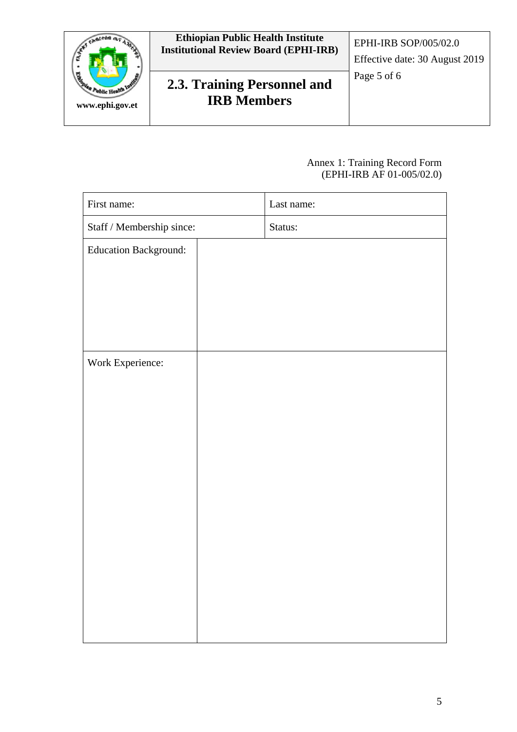

#### Annex 1: Training Record Form (EPHI-IRB AF 01-005/02.0)

| First name:                                             | Last name: |
|---------------------------------------------------------|------------|
| $\operatorname{Staff}/\operatorname{Membership}$ since: | Status:    |
| <b>Education Background:</b>                            |            |
|                                                         |            |
|                                                         |            |
|                                                         |            |
|                                                         |            |
| Work Experience:                                        |            |
|                                                         |            |
|                                                         |            |
|                                                         |            |
|                                                         |            |
|                                                         |            |
|                                                         |            |
|                                                         |            |
|                                                         |            |
|                                                         |            |
|                                                         |            |
|                                                         |            |
|                                                         |            |